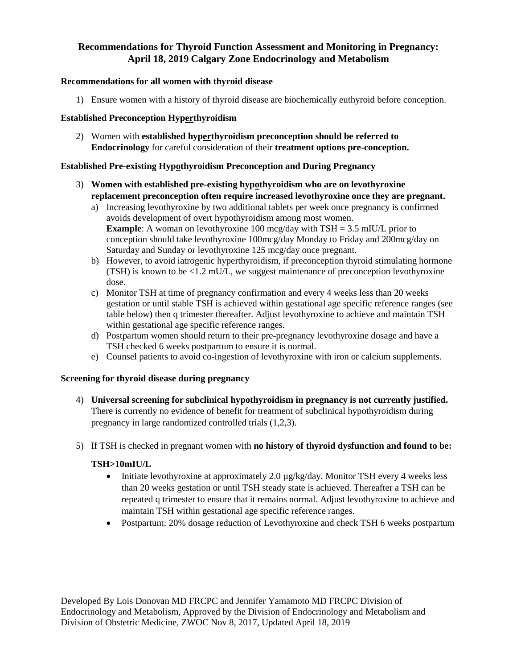# **Recommendations for Thyroid Function Assessment and Monitoring in Pregnancy: April 18, 2019 Calgary Zone Endocrinology and Metabolism**

#### **Recommendations for all women with thyroid disease**

1) Ensure women with a history of thyroid disease are biochemically euthyroid before conception.

#### **Established Preconception Hyperthyroidism**

2) Women with **established hyperthyroidism preconception should be referred to Endocrinology** for careful consideration of their **treatment options pre-conception.**

#### **Established Pre-existing Hypothyroidism Preconception and During Pregnancy**

- 3) **Women with established pre-existing hypothyroidism who are on levothyroxine replacement preconception often require increased levothyroxine once they are pregnant.**
	- a) Increasing levothyroxine by two additional tablets per week once pregnancy is confirmed avoids development of overt hypothyroidism among most women. **Example**: A woman on levothyroxine 100 mcg/day with TSH = 3.5 mIU/L prior to conception should take levothyroxine 100mcg/day Monday to Friday and 200mcg/day on Saturday and Sunday or levothyroxine 125 mcg/day once pregnant.
	- b) However, to avoid iatrogenic hyperthyroidism, if preconception thyroid stimulating hormone (TSH) is known to be  $\leq 1.2$  mU/L, we suggest maintenance of preconception levothyroxine dose.
	- c) Monitor TSH at time of pregnancy confirmation and every 4 weeks less than 20 weeks gestation or until stable TSH is achieved within gestational age specific reference ranges (see table below) then q trimester thereafter. Adjust levothyroxine to achieve and maintain TSH within gestational age specific reference ranges.
	- d) Postpartum women should return to their pre-pregnancy levothyroxine dosage and have a TSH checked 6 weeks postpartum to ensure it is normal.
	- e) Counsel patients to avoid co-ingestion of levothyroxine with iron or calcium supplements.

#### **Screening for thyroid disease during pregnancy**

- 4) **Universal screening for subclinical hypothyroidism in pregnancy is not currently justified.**  There is currently no evidence of benefit for treatment of subclinical hypothyroidism during pregnancy in large randomized controlled trials (1,2,3).
- 5) If TSH is checked in pregnant women with **no history of thyroid dysfunction and found to be:**

### **TSH>10mIU/L**

- Initiate levothyroxine at approximately 2.0  $\mu$ g/kg/day. Monitor TSH every 4 weeks less than 20 weeks gestation or until TSH steady state is achieved. Thereafter a TSH can be repeated q trimester to ensure that it remains normal. Adjust levothyroxine to achieve and maintain TSH within gestational age specific reference ranges.
- Postpartum: 20% dosage reduction of Levothyroxine and check TSH 6 weeks postpartum

Developed By Lois Donovan MD FRCPC and Jennifer Yamamoto MD FRCPC Division of Endocrinology and Metabolism, Approved by the Division of Endocrinology and Metabolism and Division of Obstetric Medicine, ZWOC Nov 8, 2017, Updated April 18, 2019